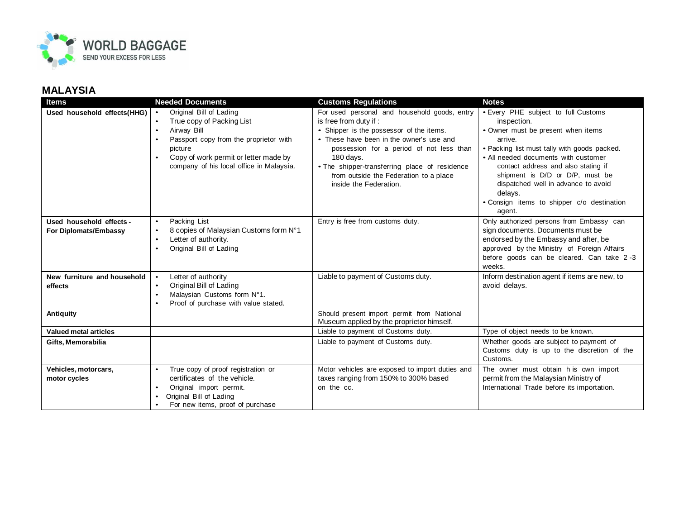

| <b>Items</b>                                      | <b>Needed Documents</b>                                                                                                                                                                                                                                           | <b>Customs Regulations</b>                                                                                                                                                                                                                                                                                                                  | <b>Notes</b>                                                                                                                                                                                                                                                                                                                                                                    |
|---------------------------------------------------|-------------------------------------------------------------------------------------------------------------------------------------------------------------------------------------------------------------------------------------------------------------------|---------------------------------------------------------------------------------------------------------------------------------------------------------------------------------------------------------------------------------------------------------------------------------------------------------------------------------------------|---------------------------------------------------------------------------------------------------------------------------------------------------------------------------------------------------------------------------------------------------------------------------------------------------------------------------------------------------------------------------------|
| Used household effects(HHG)                       | Original Bill of Lading<br>$\bullet$<br>True copy of Packing List<br>$\bullet$<br>Airway Bill<br>$\bullet$<br>Passport copy from the proprietor with<br>picture<br>Copy of work permit or letter made by<br>$\bullet$<br>company of his local office in Malaysia. | For used personal and household goods, entry<br>is free from duty if:<br>• Shipper is the possessor of the items.<br>• These have been in the owner's use and<br>possession for a period of not less than<br>180 days.<br>• The shipper-transferring place of residence<br>from outside the Federation to a place<br>inside the Federation. | • Every PHE subject to full Customs<br>inspection.<br>• Owner must be present when items<br>arrive.<br>• Packing list must tally with goods packed.<br>• All needed documents with customer<br>contact address and also stating if<br>shipment is D/D or D/P, must be<br>dispatched well in advance to avoid<br>delays.<br>. Consign items to shipper c/o destination<br>agent. |
| Used household effects -<br>For Diplomats/Embassy | Packing List<br>$\bullet$<br>8 copies of Malaysian Customs form N°1<br>$\bullet$<br>Letter of authority.<br>$\bullet$<br>Original Bill of Lading                                                                                                                  | Entry is free from customs duty.                                                                                                                                                                                                                                                                                                            | Only authorized persons from Embassy can<br>sign documents. Documents must be<br>endorsed by the Embassy and after, be<br>approved by the Ministry of Foreign Affairs<br>before goods can be cleared. Can take 2-3<br>weeks.                                                                                                                                                    |
| New furniture and household<br>effects            | Letter of authority<br>$\bullet$<br>Original Bill of Lading<br>$\bullet$<br>Malaysian Customs form N°1.<br>$\bullet$<br>Proof of purchase with value stated.<br>$\bullet$                                                                                         | Liable to payment of Customs duty.                                                                                                                                                                                                                                                                                                          | Inform destination agent if items are new, to<br>avoid delays.                                                                                                                                                                                                                                                                                                                  |
| <b>Antiquity</b>                                  |                                                                                                                                                                                                                                                                   | Should present import permit from National<br>Museum applied by the proprietor himself.                                                                                                                                                                                                                                                     |                                                                                                                                                                                                                                                                                                                                                                                 |
| <b>Valued metal articles</b>                      |                                                                                                                                                                                                                                                                   | Liable to payment of Customs duty.                                                                                                                                                                                                                                                                                                          | Type of object needs to be known.                                                                                                                                                                                                                                                                                                                                               |
| Gifts, Memorabilia                                |                                                                                                                                                                                                                                                                   | Liable to payment of Customs duty.                                                                                                                                                                                                                                                                                                          | Whether goods are subject to payment of<br>Customs duty is up to the discretion of the<br>Customs.                                                                                                                                                                                                                                                                              |
| Vehicles, motorcars,<br>motor cycles              | True copy of proof registration or<br>$\bullet$<br>certificates of the vehicle.<br>Original import permit.<br>$\bullet$<br>Original Bill of Lading<br>For new items, proof of purchase                                                                            | Motor vehicles are exposed to import duties and<br>taxes ranging from 150% to 300% based<br>on the cc.                                                                                                                                                                                                                                      | The owner must obtain h is own import<br>permit from the Malaysian Ministry of<br>International Trade before its importation.                                                                                                                                                                                                                                                   |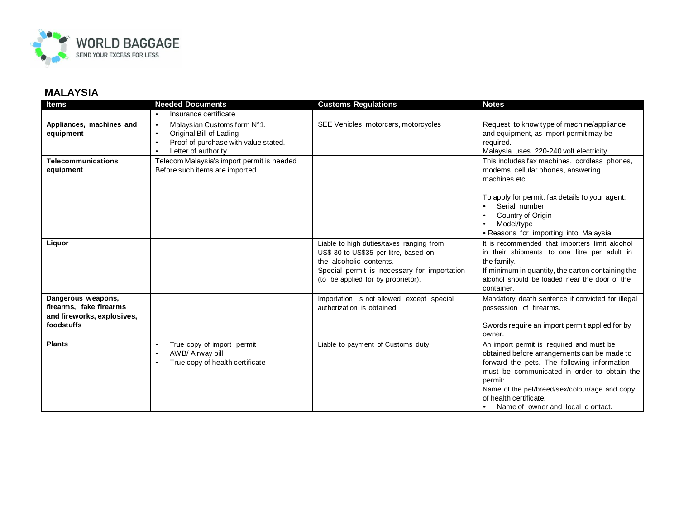

| <b>Items</b>                                                                              | <b>Needed Documents</b>                                                                                                                                                   | <b>Customs Regulations</b>                                                                                                                                                                        | <b>Notes</b>                                                                                                                                                                                                                                                                                                     |
|-------------------------------------------------------------------------------------------|---------------------------------------------------------------------------------------------------------------------------------------------------------------------------|---------------------------------------------------------------------------------------------------------------------------------------------------------------------------------------------------|------------------------------------------------------------------------------------------------------------------------------------------------------------------------------------------------------------------------------------------------------------------------------------------------------------------|
|                                                                                           | Insurance certificate                                                                                                                                                     |                                                                                                                                                                                                   |                                                                                                                                                                                                                                                                                                                  |
| Appliances, machines and<br>equipment                                                     | Malaysian Customs form N°1.<br>$\bullet$<br>Original Bill of Lading<br>$\bullet$<br>Proof of purchase with value stated.<br>$\bullet$<br>Letter of authority<br>$\bullet$ | SEE Vehicles, motorcars, motorcycles                                                                                                                                                              | Request to know type of machine/appliance<br>and equipment, as import permit may be<br>required.<br>Malaysia uses 220-240 volt electricity.                                                                                                                                                                      |
| <b>Telecommunications</b><br>equipment                                                    | Telecom Malaysia's import permit is needed<br>Before such items are imported.                                                                                             |                                                                                                                                                                                                   | This includes fax machines, cordless phones,<br>modems, cellular phones, answering<br>machines etc.<br>To apply for permit, fax details to your agent:<br>Serial number                                                                                                                                          |
|                                                                                           |                                                                                                                                                                           |                                                                                                                                                                                                   | Country of Origin<br>Model/type<br>• Reasons for importing into Malaysia.                                                                                                                                                                                                                                        |
| Liquor                                                                                    |                                                                                                                                                                           | Liable to high duties/taxes ranging from<br>US\$ 30 to US\$35 per litre, based on<br>the alcoholic contents.<br>Special permit is necessary for importation<br>(to be applied for by proprietor). | It is recommended that importers limit alcohol<br>in their shipments to one litre per adult in<br>the family.<br>If minimum in quantity, the carton containing the<br>alcohol should be loaded near the door of the<br>container.                                                                                |
| Dangerous weapons,<br>firearms, fake firearms<br>and fireworks, explosives,<br>foodstuffs |                                                                                                                                                                           | Importation is not allowed except special<br>authorization is obtained.                                                                                                                           | Mandatory death sentence if convicted for illegal<br>possession of firearms.<br>Swords require an import permit applied for by<br>owner.                                                                                                                                                                         |
| <b>Plants</b>                                                                             | True copy of import permit<br>$\bullet$<br>AWB/ Airway bill<br>$\bullet$<br>True copy of health certificate<br>٠                                                          | Liable to payment of Customs duty.                                                                                                                                                                | An import permit is required and must be<br>obtained before arrangements can be made to<br>forward the pets. The following information<br>must be communicated in order to obtain the<br>permit:<br>Name of the pet/breed/sex/colour/age and copy<br>of health certificate.<br>Name of owner and local c ontact. |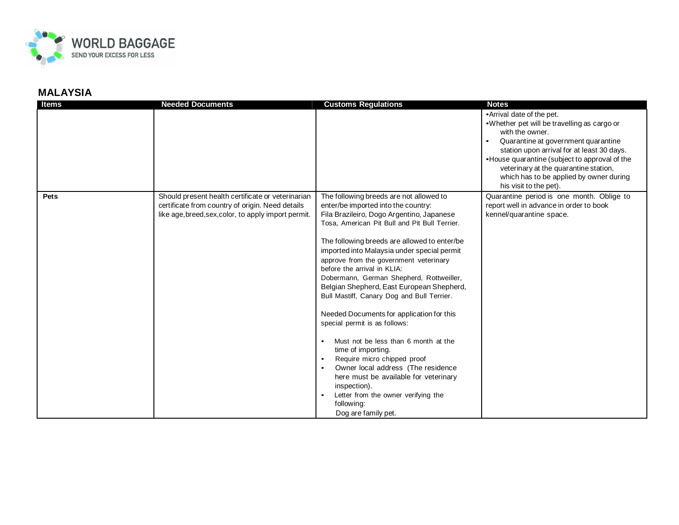

| <b>Items</b> | <b>Needed Documents</b>                                                                                                                                       | <b>Customs Regulations</b>                                                                                                                                                                                                                                                                                                                                                                                                                                                                                                                                                                                                                                                                                                                                                                                                                        | <b>Notes</b>                                                                                                                                                                                                                                                                                                                                     |
|--------------|---------------------------------------------------------------------------------------------------------------------------------------------------------------|---------------------------------------------------------------------------------------------------------------------------------------------------------------------------------------------------------------------------------------------------------------------------------------------------------------------------------------------------------------------------------------------------------------------------------------------------------------------------------------------------------------------------------------------------------------------------------------------------------------------------------------------------------------------------------------------------------------------------------------------------------------------------------------------------------------------------------------------------|--------------------------------------------------------------------------------------------------------------------------------------------------------------------------------------------------------------------------------------------------------------------------------------------------------------------------------------------------|
|              |                                                                                                                                                               |                                                                                                                                                                                                                                                                                                                                                                                                                                                                                                                                                                                                                                                                                                                                                                                                                                                   | • Arrival date of the pet.<br>.Whether pet will be travelling as cargo or<br>with the owner.<br>Quarantine at government quarantine<br>station upon arrival for at least 30 days.<br>•House quarantine (subject to approval of the<br>veterinary at the quarantine station,<br>which has to be applied by owner during<br>his visit to the pet). |
| <b>Pets</b>  | Should present health certificate or veterinarian<br>certificate from country of origin. Need details<br>like age, breed, sex, color, to apply import permit. | The following breeds are not allowed to<br>enter/be imported into the country:<br>Fila Brazileiro, Dogo Argentino, Japanese<br>Tosa, American Pit Bull and Pit Bull Terrier.<br>The following breeds are allowed to enter/be<br>imported into Malaysia under special permit<br>approve from the government veterinary<br>before the arrival in KLIA:<br>Dobermann, German Shepherd, Rottweiller,<br>Belgian Shepherd, East European Shepherd,<br>Bull Mastiff, Canary Dog and Bull Terrier.<br>Needed Documents for application for this<br>special permit is as follows:<br>Must not be less than 6 month at the<br>time of importing.<br>Require micro chipped proof<br>Owner local address (The residence<br>here must be available for veterinary<br>inspection).<br>Letter from the owner verifying the<br>following:<br>Dog are family pet. | Quarantine period is one month. Oblige to<br>report well in advance in order to book<br>kennel/quarantine space.                                                                                                                                                                                                                                 |